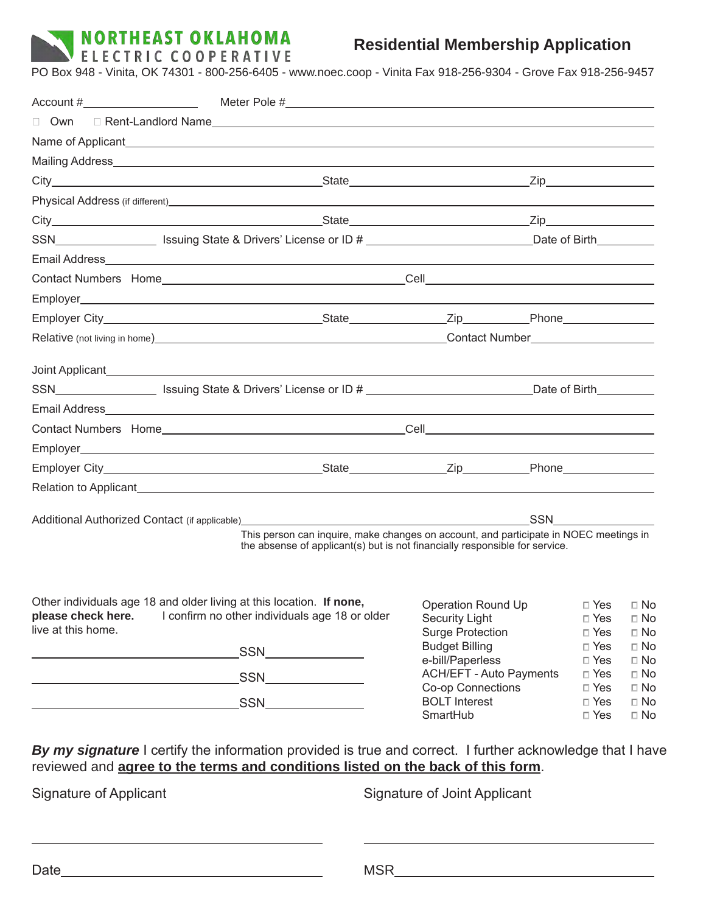

## **Residential Membership Application**

PO Box 948 - Vinita, OK 74301 - 800-256-6405 - www.noec.coop - Vinita Fax 918-256-9304 - Grove Fax 918-256-9457

|                                                                                                                                                                                             | $\textsf{Account}\;\texttt{\#}\qquad \qquad \textsf{Meter Pole}\;\texttt{\#}\qquad \qquad \textsf{Meter Pole}\;\texttt{\#}\qquad \qquad \textsf{Meter Pole}\;\texttt{\#}\qquad \qquad \textsf{Meter Pole}\;\texttt{\#}\qquad \qquad \textsf{Meter Pole}\;\texttt{\#}\qquad \qquad \textsf{Meter Pole}\;\texttt{\#}\qquad \qquad \textsf{Meter Pole}\;\texttt{\#}\qquad \qquad \textsf{Meter Pole}\;\texttt{\#}\qquad \qquad \textsf{Meter Pole}\;\texttt{\#}\qquad \qquad \textsf{Meter Pole}\;\texttt{\#}\qquad \qquad \textsf{Meter Pole}\;\texttt{\#$ |                                                    |                          |                        |  |
|---------------------------------------------------------------------------------------------------------------------------------------------------------------------------------------------|----------------------------------------------------------------------------------------------------------------------------------------------------------------------------------------------------------------------------------------------------------------------------------------------------------------------------------------------------------------------------------------------------------------------------------------------------------------------------------------------------------------------------------------------------------|----------------------------------------------------|--------------------------|------------------------|--|
|                                                                                                                                                                                             |                                                                                                                                                                                                                                                                                                                                                                                                                                                                                                                                                          |                                                    |                          |                        |  |
|                                                                                                                                                                                             |                                                                                                                                                                                                                                                                                                                                                                                                                                                                                                                                                          |                                                    |                          |                        |  |
|                                                                                                                                                                                             |                                                                                                                                                                                                                                                                                                                                                                                                                                                                                                                                                          |                                                    |                          |                        |  |
|                                                                                                                                                                                             |                                                                                                                                                                                                                                                                                                                                                                                                                                                                                                                                                          |                                                    |                          |                        |  |
|                                                                                                                                                                                             |                                                                                                                                                                                                                                                                                                                                                                                                                                                                                                                                                          |                                                    |                          |                        |  |
|                                                                                                                                                                                             |                                                                                                                                                                                                                                                                                                                                                                                                                                                                                                                                                          |                                                    |                          |                        |  |
|                                                                                                                                                                                             | SSN________________________ Issuing State & Drivers' License or ID # ______________________________Date of Birth__________                                                                                                                                                                                                                                                                                                                                                                                                                               |                                                    |                          |                        |  |
|                                                                                                                                                                                             |                                                                                                                                                                                                                                                                                                                                                                                                                                                                                                                                                          |                                                    |                          |                        |  |
|                                                                                                                                                                                             |                                                                                                                                                                                                                                                                                                                                                                                                                                                                                                                                                          |                                                    |                          |                        |  |
|                                                                                                                                                                                             |                                                                                                                                                                                                                                                                                                                                                                                                                                                                                                                                                          |                                                    |                          |                        |  |
|                                                                                                                                                                                             |                                                                                                                                                                                                                                                                                                                                                                                                                                                                                                                                                          |                                                    |                          |                        |  |
|                                                                                                                                                                                             |                                                                                                                                                                                                                                                                                                                                                                                                                                                                                                                                                          |                                                    |                          |                        |  |
|                                                                                                                                                                                             |                                                                                                                                                                                                                                                                                                                                                                                                                                                                                                                                                          |                                                    |                          |                        |  |
|                                                                                                                                                                                             |                                                                                                                                                                                                                                                                                                                                                                                                                                                                                                                                                          |                                                    |                          |                        |  |
|                                                                                                                                                                                             |                                                                                                                                                                                                                                                                                                                                                                                                                                                                                                                                                          |                                                    |                          |                        |  |
|                                                                                                                                                                                             |                                                                                                                                                                                                                                                                                                                                                                                                                                                                                                                                                          |                                                    |                          |                        |  |
|                                                                                                                                                                                             |                                                                                                                                                                                                                                                                                                                                                                                                                                                                                                                                                          |                                                    |                          |                        |  |
|                                                                                                                                                                                             |                                                                                                                                                                                                                                                                                                                                                                                                                                                                                                                                                          |                                                    |                          |                        |  |
|                                                                                                                                                                                             |                                                                                                                                                                                                                                                                                                                                                                                                                                                                                                                                                          |                                                    |                          |                        |  |
|                                                                                                                                                                                             |                                                                                                                                                                                                                                                                                                                                                                                                                                                                                                                                                          |                                                    | <b>SSN SSN</b>           |                        |  |
|                                                                                                                                                                                             | This person can inquire, make changes on account, and participate in NOEC meetings in<br>the absense of applicant(s) but is not financially responsible for service.                                                                                                                                                                                                                                                                                                                                                                                     |                                                    |                          |                        |  |
|                                                                                                                                                                                             |                                                                                                                                                                                                                                                                                                                                                                                                                                                                                                                                                          |                                                    |                          |                        |  |
| Other individuals age 18 and older living at this location. If none, Operation Round Up DYes DNo<br>please check here. I confirm no other individuals age 18 or older<br>live at this home. |                                                                                                                                                                                                                                                                                                                                                                                                                                                                                                                                                          | <b>Security Light</b><br><b>Surge Protection</b>   | $\Box$ Yes<br>$\Box$ Yes | $\Box$ No<br>$\Box$ No |  |
|                                                                                                                                                                                             |                                                                                                                                                                                                                                                                                                                                                                                                                                                                                                                                                          | <b>Budget Billing</b>                              | $\Box$ Yes               | $\square$ No           |  |
|                                                                                                                                                                                             |                                                                                                                                                                                                                                                                                                                                                                                                                                                                                                                                                          | e-bill/Paperless<br><b>ACH/EFT - Auto Payments</b> | $\Box$ Yes<br>$\Box$ Yes | $\Box$ No<br>$\Box$ No |  |
|                                                                                                                                                                                             | SSN______________                                                                                                                                                                                                                                                                                                                                                                                                                                                                                                                                        | Co-op Connections                                  | $\Box$ Yes               | $\Box$ No              |  |
|                                                                                                                                                                                             |                                                                                                                                                                                                                                                                                                                                                                                                                                                                                                                                                          | <b>BOLT</b> Interest<br>SmartHub                   | $\Box$ Yes               | $\Box$ No              |  |
|                                                                                                                                                                                             |                                                                                                                                                                                                                                                                                                                                                                                                                                                                                                                                                          |                                                    | $\Box$ Yes               | $\Box$ No              |  |

Signature of Applicant Signature of Joint Applicant

 $\overline{a}$ 

Date MSR